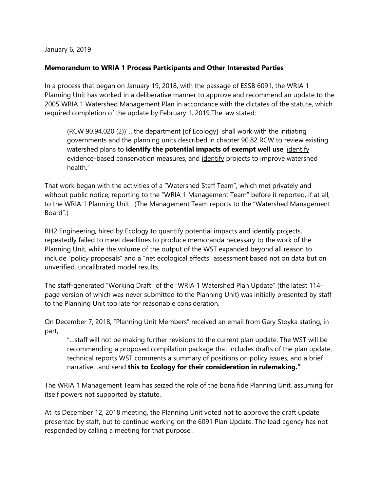January 6, 2019

## **Memorandum to WRIA 1 Process Participants and Other Interested Parties**

In a process that began on January 19, 2018, with the passage of ESSB 6091, the WRIA 1 Planning Unit has worked in a deliberative manner to approve and recommend an update to the 2005 WRIA 1 Watershed Management Plan in accordance with the dictates of the statute, which required completion of the update by February 1, 2019.The law stated:

(RCW 90.94.020 (2))"…the department [of Ecology] shall work with the initiating governments and the planning units described in chapter [90.82](http://app.leg.wa.gov/RCW/default.aspx?cite=90.82) RCW to review existing watershed plans to **identify the potential impacts of exempt well use**, identify evidence-based conservation measures, and identify projects to improve watershed health."

That work began with the activities of a "Watershed Staff Team", which met privately and without public notice, reporting to the "WRIA 1 Management Team" before it reported, if at all, to the WRIA 1 Planning Unit. (The Management Team reports to the "Watershed Management Board".)

RH2 Engineering, hired by Ecology to quantify potential impacts and identify projects, repeatedly failed to meet deadlines to produce memoranda necessary to the work of the Planning Unit, while the volume of the output of the WST expanded beyond all reason to include "policy proposals" and a "net ecological effects" assessment based not on data but on unverified, uncalibrated model results.

The staff-generated "Working Draft" of the "WRIA 1 Watershed Plan Update" (the latest 114 page version of which was never submitted to the Planning Unit) was initially presented by staff to the Planning Unit too late for reasonable consideration.

On December 7, 2018, "Planning Unit Members" received an email from Gary Stoyka stating, in part,

"…staff will not be making further revisions to the current plan update. The WST will be recommending a proposed compilation package that includes drafts of the plan update, technical reports WST comments a summary of positions on policy issues, and a brief narrative…and send **this to Ecology for their consideration in rulemaking."**

The WRIA 1 Management Team has seized the role of the bona fide Planning Unit, assuming for itself powers not supported by statute.

At its December 12, 2018 meeting, the Planning Unit voted not to approve the draft update presented by staff, but to continue working on the 6091 Plan Update. The lead agency has not responded by calling a meeting for that purpose .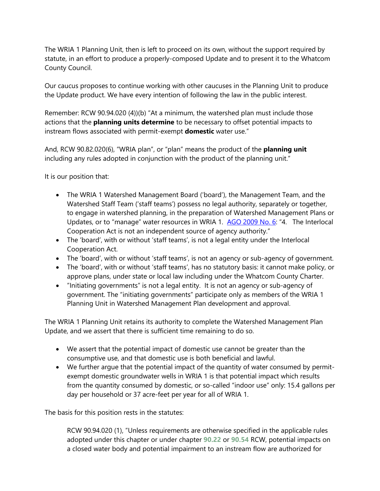The WRIA 1 Planning Unit, then is left to proceed on its own, without the support required by statute, in an effort to produce a properly-composed Update and to present it to the Whatcom County Council.

Our caucus proposes to continue working with other caucuses in the Planning Unit to produce the Update product. We have every intention of following the law in the public interest.

Remember: RCW 90.94.020 (4))(b) "At a minimum, the watershed plan must include those actions that the **planning units determine** to be necessary to offset potential impacts to instream flows associated with permit-exempt **domestic** water use."

And, RCW 90.82.020(6), "WRIA plan", or "plan" means the product of the **planning unit** including any rules adopted in conjunction with the product of the planning unit."

It is our position that:

- The WRIA 1 Watershed Management Board ('board'), the Management Team, and the Watershed Staff Team ('staff teams') possess no legal authority, separately or together, to engage in watershed planning, in the preparation of Watershed Management Plans or Updates, or to "manage" water resources in WRIA 1. [AGO 2009 No. 6](file:///H:/My%20Documents/Washington%20Attorney%20General%20Opinions/WA%20AGO%20Opinion%202009-6%20Appropriation-Exempt%20Wells%20(3).docx): "4. The Interlocal Cooperation Act is not an independent source of agency authority."
- The 'board', with or without 'staff teams', is not a legal entity under the Interlocal Cooperation Act.
- The 'board', with or without 'staff teams', is not an agency or sub-agency of government.
- The 'board', with or without 'staff teams', has no statutory basis: it cannot make policy, or approve plans, under state or local law including under the Whatcom County Charter.
- "Initiating governments" is not a legal entity. It is not an agency or sub-agency of government. The "initiating governments" participate only as members of the WRIA 1 Planning Unit in Watershed Management Plan development and approval.

The WRIA 1 Planning Unit retains its authority to complete the Watershed Management Plan Update, and we assert that there is sufficient time remaining to do so.

- We assert that the potential impact of domestic use cannot be greater than the consumptive use, and that domestic use is both beneficial and lawful.
- We further argue that the potential impact of the quantity of water consumed by permitexempt domestic groundwater wells in WRIA 1 is that potential impact which results from the quantity consumed by domestic, or so-called "indoor use" only: 15.4 gallons per day per household or 37 acre-feet per year for all of WRIA 1.

The basis for this position rests in the statutes:

RCW 90.94.020 (1), "Unless requirements are otherwise specified in the applicable rules adopted under this chapter or under chapter **[90.22](http://app.leg.wa.gov/RCW/default.aspx?cite=90.22)** or **[90.54](http://app.leg.wa.gov/RCW/default.aspx?cite=90.54)** RCW, potential impacts on a closed water body and potential impairment to an instream flow are authorized for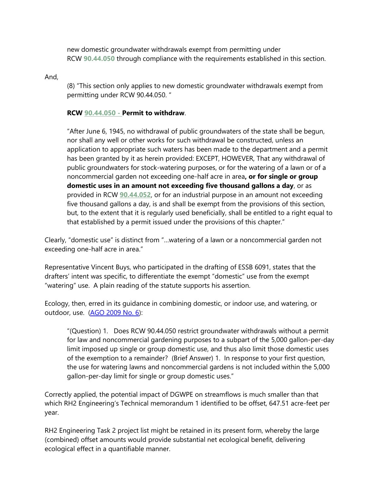new domestic groundwater withdrawals exempt from permitting under RCW **[90.44.050](http://app.leg.wa.gov/RCW/default.aspx?cite=90.44.050)** through compliance with the requirements established in this section.

And,

(8) "This section only applies to new domestic groundwater withdrawals exempt from permitting under RCW 90.44.050. "

## **RCW [90.44.050](http://app.leg.wa.gov/RCW/default.aspx?cite=90.44.050) - Permit to withdraw**.

"After June 6, 1945, no withdrawal of public groundwaters of the state shall be begun, nor shall any well or other works for such withdrawal be constructed, unless an application to appropriate such waters has been made to the department and a permit has been granted by it as herein provided: EXCEPT, HOWEVER, That any withdrawal of public groundwaters for stock-watering purposes, or for the watering of a lawn or of a noncommercial garden not exceeding one-half acre in area**, or for single or group domestic uses in an amount not exceeding five thousand gallons a day**, or as provided in RCW **[90.44.052](http://app.leg.wa.gov/RCW/default.aspx?cite=90.44.052)**, or for an industrial purpose in an amount not exceeding five thousand gallons a day, is and shall be exempt from the provisions of this section, but, to the extent that it is regularly used beneficially, shall be entitled to a right equal to that established by a permit issued under the provisions of this chapter."

Clearly, "domestic use" is distinct from "…watering of a lawn or a noncommercial garden not exceeding one-half acre in area."

Representative Vincent Buys, who participated in the drafting of ESSB 6091, states that the drafters' intent was specific, to differentiate the exempt "domestic" use from the exempt "watering" use. A plain reading of the statute supports his assertion.

Ecology, then, erred in its guidance in combining domestic, or indoor use, and watering, or outdoor, use. [\(AGO 2009 No. 6\)](file:///H:/My%20Documents/Washington%20Attorney%20General%20Opinions/WA%20AGO%20Opinion%202009-6%20Appropriation-Exempt%20Wells%20(3).docx):

"(Question) 1. Does RCW 90.44.050 restrict groundwater withdrawals without a permit for law and noncommercial gardening purposes to a subpart of the 5,000 gallon-per-day limit imposed up single or group domestic use, and thus also limit those domestic uses of the exemption to a remainder? (Brief Answer) 1. In response to your first question, the use for watering lawns and noncommercial gardens is not included within the 5,000 gallon-per-day limit for single or group domestic uses."

Correctly applied, the potential impact of DGWPE on streamflows is much smaller than that which RH2 Engineering's Technical memorandum 1 identified to be offset, 647.51 acre-feet per year.

RH2 Engineering Task 2 project list might be retained in its present form, whereby the large (combined) offset amounts would provide substantial net ecological benefit, delivering ecological effect in a quantifiable manner.